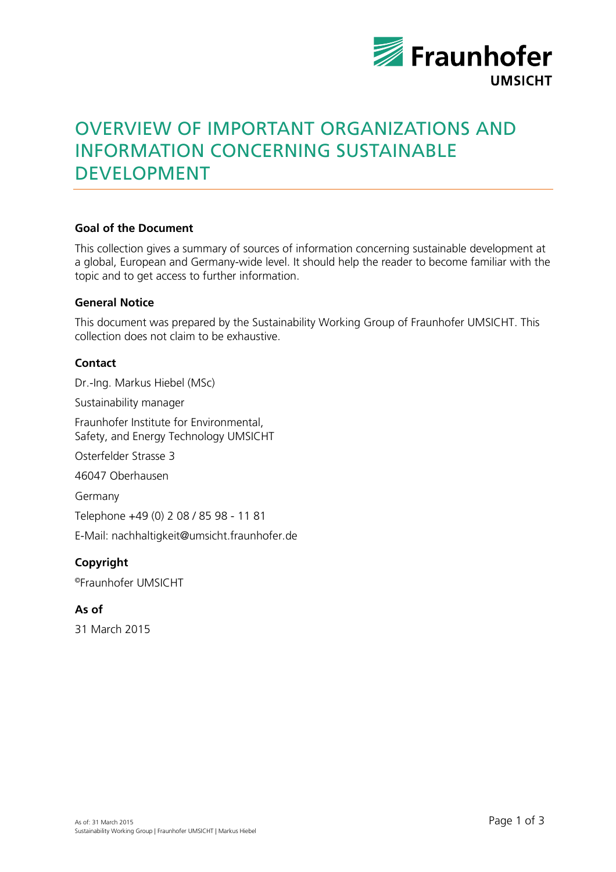

# OVERVIEW OF IMPORTANT ORGANIZATIONS AND INFORMATION CONCERNING SUSTAINABLE DEVELOPMENT

## **Goal of the Document**

This collection gives a summary of sources of information concerning sustainable development at a global, European and Germany-wide level. It should help the reader to become familiar with the topic and to get access to further information.

### **General Notice**

This document was prepared by the Sustainability Working Group of Fraunhofer UMSICHT. This collection does not claim to be exhaustive.

### **Contact**

Dr.-Ing. Markus Hiebel (MSc)

Sustainability manager

Fraunhofer Institute for Environmental, Safety, and Energy Technology UMSICHT

Osterfelder Strasse 3

46047 Oberhausen

Germany

Telephone +49 (0) 2 08 / 85 98 - 11 81

E-Mail: nachhaltigkeit@umsicht.fraunhofer.de

# **Copyright**

© Fraunhofer UMSICHT

## **As of**

31 March 2015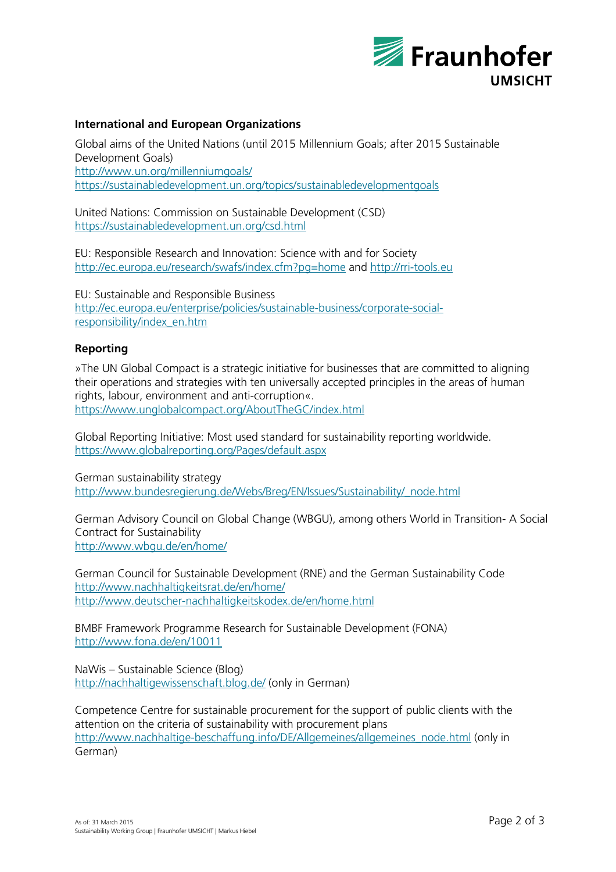

## **International and European Organizations**

Global aims of the United Nations (until 2015 Millennium Goals; after 2015 Sustainable Development Goals) http://www.un.org/millenniumgoals/ https://sustainabledevelopment.un.org/topics/sustainabledevelopmentgoals

United Nations: Commission on Sustainable Development (CSD) https://sustainabledevelopment.un.org/csd.html

EU: Responsible Research and Innovation: Science with and for Society http://ec.europa.eu/research/swafs/index.cfm?pg=home and http://rri-tools.eu

EU: Sustainable and Responsible Business http://ec.europa.eu/enterprise/policies/sustainable-business/corporate-socialresponsibility/index\_en.htm

### **Reporting**

»The UN Global Compact is a strategic initiative for businesses that are committed to aligning their operations and strategies with ten universally accepted principles in the areas of human rights, labour, environment and anti-corruption«. https://www.unglobalcompact.org/AboutTheGC/index.html

Global Reporting Initiative: Most used standard for sustainability reporting worldwide. https://www.globalreporting.org/Pages/default.aspx

German sustainability strategy http://www.bundesregierung.de/Webs/Breg/EN/Issues/Sustainability/\_node.html

German Advisory Council on Global Change (WBGU), among others World in Transition- A Social Contract for Sustainability http://www.wbgu.de/en/home/

German Council for Sustainable Development (RNE) and the German Sustainability Code http://www.nachhaltigkeitsrat.de/en/home/ http://www.deutscher-nachhaltigkeitskodex.de/en/home.html

BMBF Framework Programme Research for Sustainable Development (FONA) http://www.fona.de/en/10011

NaWis – Sustainable Science (Blog) http://nachhaltigewissenschaft.blog.de/ (only in German)

Competence Centre for sustainable procurement for the support of public clients with the attention on the criteria of sustainability with procurement plans http://www.nachhaltige-beschaffung.info/DE/Allgemeines/allgemeines\_node.html (only in German)